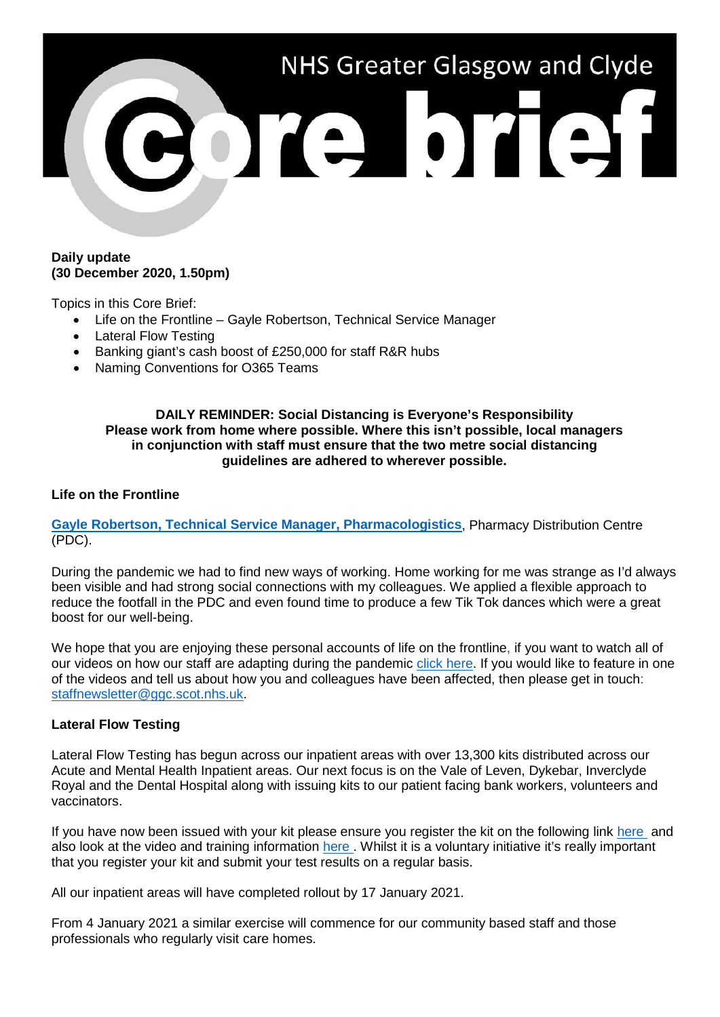

### **Daily update (30 December 2020, 1.50pm)**

Topics in this Core Brief:

- Life on the Frontline Gayle Robertson, Technical Service Manager
- Lateral Flow Testing
- Banking giant's cash boost of £250,000 for staff R&R hubs
- Naming Conventions for O365 Teams

### **DAILY REMINDER: Social Distancing is Everyone's Responsibility Please work from home where possible. Where this isn't possible, local managers in conjunction with staff must ensure that the two metre social distancing guidelines are adhered to wherever possible.**

### **Life on the Frontline**

**[Gayle Robertson, Technical Service Manager, Pharmacologistics](https://www.youtube.com/watch?v=fxOolFDvyiA)**, Pharmacy Distribution Centre (PDC).

During the pandemic we had to find new ways of working. Home working for me was strange as I'd always been visible and had strong social connections with my colleagues. We applied a flexible approach to reduce the footfall in the PDC and even found time to produce a few Tik Tok dances which were a great boost for our well-being.

We hope that you are enjoying these personal accounts of life on the frontline, if you want to watch all of our videos on how our staff are adapting during the pandemic [click here.](https://www.nhsggc.org.uk/your-health/health-issues/covid-19-coronavirus/life-on-the-frontline/) If you would like to feature in one of the videos and tell us about how you and colleagues have been affected, then please get in touch: [staffnewsletter@ggc.scot.nhs.uk.](mailto:staffnewsletter@ggc.scot.nhs.uk)

## **Lateral Flow Testing**

Lateral Flow Testing has begun across our inpatient areas with over 13,300 kits distributed across our Acute and Mental Health Inpatient areas. Our next focus is on the Vale of Leven, Dykebar, Inverclyde Royal and the Dental Hospital along with issuing kits to our patient facing bank workers, volunteers and vaccinators.

If you have now been issued with your kit please ensure you register the kit on the following link [here](https://forms.office.com/Pages/ResponsePage.aspx?id=veDvEDCgykuAnLXmdF5JmgW9YoY5w-BDlHK7ghonYUBUREg4R0RKV1pRMElOU0VJWVBaMlVIM1c3RiQlQCN0PWcu) and also look at the video and training information here. Whilst it is a voluntary initiative it's really important that you register your kit and submit your test results on a regular basis.

All our inpatient areas will have completed rollout by 17 January 2021.

From 4 January 2021 a similar exercise will commence for our community based staff and those professionals who regularly visit care homes.